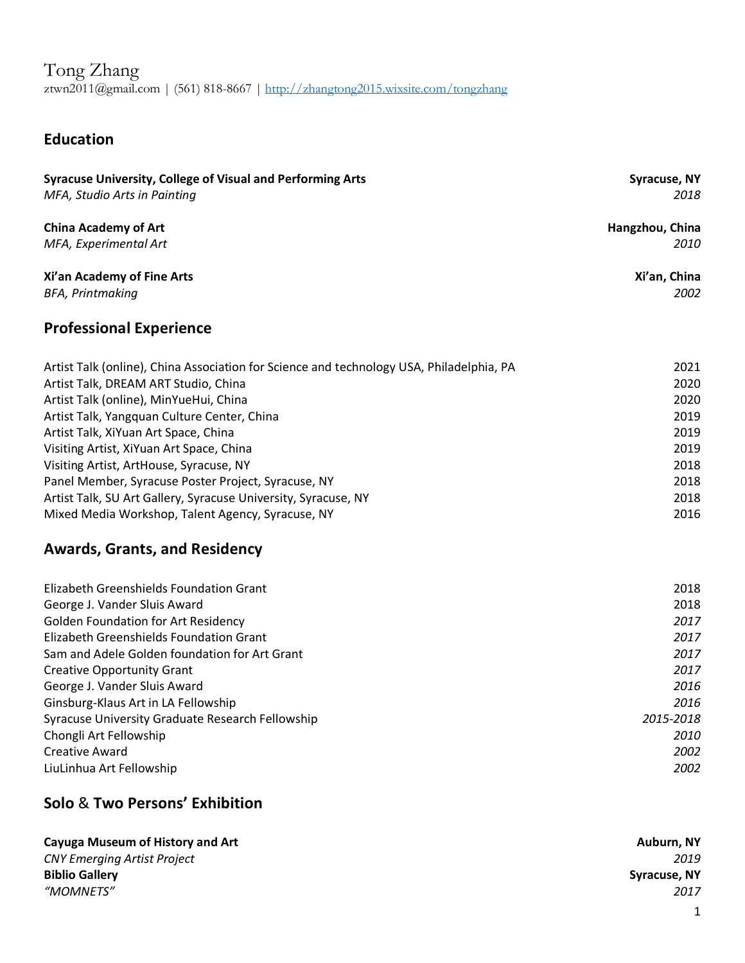Tong Zhang ztwn2011@gmail.com | (561) 818-8667 | http://zhangtong2015.wixsite.com/tongzhang

# **Education**

| <b>Syracuse University, College of Visual and Performing Arts</b><br>MFA, Studio Arts in Painting | <b>Syracuse, NY</b><br>2018 |
|---------------------------------------------------------------------------------------------------|-----------------------------|
| <b>China Academy of Art</b>                                                                       | Hangzhou, China             |
| MFA, Experimental Art                                                                             | 2010                        |
|                                                                                                   |                             |
| Xi'an Academy of Fine Arts                                                                        | Xi'an, China                |
| <b>BFA, Printmaking</b>                                                                           | 2002                        |
| <b>Professional Experience</b>                                                                    |                             |
| Artist Talk (online), China Association for Science and technology USA, Philadelphia, PA          | 2021                        |
| Artist Talk, DREAM ART Studio, China                                                              | 2020                        |
| Artist Talk (online), MinYueHui, China                                                            | 2020                        |
| Artist Talk, Yangquan Culture Center, China                                                       | 2019                        |
| Artist Talk, XiYuan Art Space, China                                                              | 2019                        |
| Visiting Artist, XiYuan Art Space, China                                                          | 2019                        |
| Visiting Artist, ArtHouse, Syracuse, NY                                                           | 2018                        |
| Panel Member, Syracuse Poster Project, Syracuse, NY                                               | 2018                        |
| Artist Talk, SU Art Gallery, Syracuse University, Syracuse, NY                                    | 2018                        |
| Mixed Media Workshop, Talent Agency, Syracuse, NY                                                 | 2016                        |
| <b>Awards, Grants, and Residency</b>                                                              |                             |
| <b>Elizabeth Greenshields Foundation Grant</b>                                                    | 2018                        |
| George J. Vander Sluis Award                                                                      | 2018                        |
| <b>Golden Foundation for Art Residency</b>                                                        | 2017                        |
| Elizabeth Greenshields Foundation Grant                                                           | 2017                        |
| Sam and Adele Golden foundation for Art Grant                                                     | 2017                        |
| <b>Creative Opportunity Grant</b>                                                                 | 2017                        |
| George J. Vander Sluis Award                                                                      | 2016                        |
| Ginsburg-Klaus Art in LA Fellowship                                                               | 2016                        |
| Syracuse University Graduate Research Fellowship                                                  | 2015-2018                   |
| Chongli Art Fellowship                                                                            | 2010                        |
| Creative Award                                                                                    | 2002                        |

### **Solo** & **Two Persons' Exhibition**

| Cayuga Museum of History and Art   | Auburn, NY   |
|------------------------------------|--------------|
| <b>CNY Emerging Artist Project</b> | 2019         |
| <b>Biblio Gallery</b>              | Syracuse, NY |
| "MOMNETS"                          | 2017         |

LiuLinhua Art Fellowship *2002*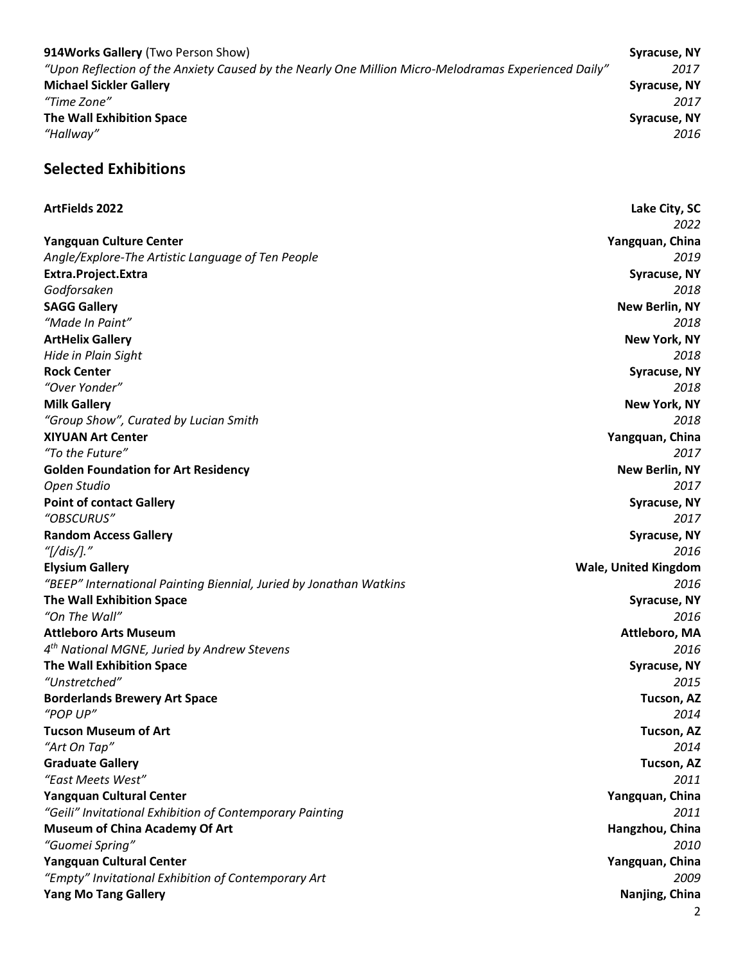**914Works Gallery** (Two Person Show) **Syracuse, NY** *"Upon Reflection of the Anxiety Caused by the Nearly One Million Micro-Melodramas Experienced Daily" 2017* **Michael Sickler Gallery Syracuse, NY** *"Time Zone" 2017* **The Wall Exhibition Space Syracuse, NY** *"Hallway" 2016*

### **Selected Exhibitions**

#### **ArtFields 2022 Lake City, SC**

*2022* **Yangquan Culture Center Yangquan, China** *Angle/Explore-The Artistic Language of Ten People 2019* **Extra.Project.Extra Syracuse, NY** *Godforsaken 2018* **SAGG Gallery New Berlin, NY** *"Made In Paint" 2018* **ArtHelix Gallery New York, NY** *Hide in Plain Sight 2018* **Rock Center Syracuse, NY** *"Over Yonder" 2018* **Milk Gallery New York, NY** *"Group Show", Curated by Lucian Smith 2018* **XIYUAN Art Center Yangquan, China** *"To the Future" 2017* **Golden Foundation for Art Residency New Berlin, NY** *Open Studio 2017* **Point of contact Gallery and Syracuse and Syracuse, NY Syracuse, NY Syracuse, NY** *"OBSCURUS" 2017* **Random Access Gallery Syracuse, NY** *"[/dis/]." 2016* **Elysium Gallery Wale, United Kingdom** *"BEEP" International Painting Biennial, Juried by Jonathan Watkins 2016*  **The Wall Exhibition Space Syracuse, NY** *"On The Wall" 2016* **Attleboro Arts Museum Attleboro, MA** *4th National MGNE, Juried by Andrew Stevens 2016* **The Wall Exhibition Space Syracuse, NY** *"Unstretched" 2015* **Borderlands Brewery Art Space Tucson, AZ** *"POP UP" 2014* **Tucson Museum of Art Tucson, AZ** *"Art On Tap" 2014* **Graduate Gallery Tucson, AZ** *"East Meets West" 2011* **Yangquan Cultural Center Yangquan, China** *"Geili" Invitational Exhibition of Contemporary Painting 2011* **Museum of China Academy Of Art Hangzhou, China Hangzhou, China Hangzhou, China** *"Guomei Spring" 2010* **Yangquan Cultural Center Yangquan, China** *"Empty" Invitational Exhibition of Contemporary Art 2009* **Yang Mo Tang Gallery Nanjing, China**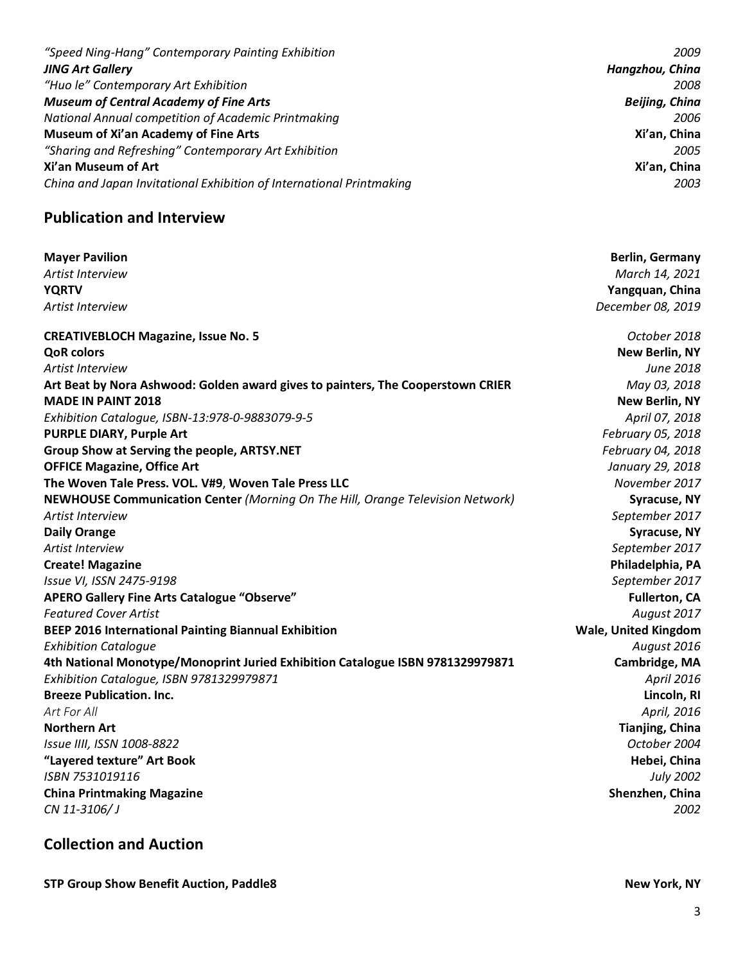| "Speed Ning-Hang" Contemporary Painting Exhibition                   | 2009                  |
|----------------------------------------------------------------------|-----------------------|
| <b>JING Art Gallery</b>                                              | Hangzhou, China       |
| "Huo le" Contemporary Art Exhibition                                 | 2008                  |
| <b>Museum of Central Academy of Fine Arts</b>                        | <b>Beijing, China</b> |
| National Annual competition of Academic Printmaking                  | 2006                  |
| Museum of Xi'an Academy of Fine Arts                                 | Xi'an, China          |
| "Sharing and Refreshing" Contemporary Art Exhibition                 | 2005                  |
| Xi'an Museum of Art                                                  | Xi'an, China          |
| China and Japan Invitational Exhibition of International Printmaking | 2003                  |

## **Publication and Interview**

| <b>Mayer Pavilion</b>                                                           | <b>Berlin, Germany</b>      |
|---------------------------------------------------------------------------------|-----------------------------|
| Artist Interview                                                                | March 14, 2021              |
| <b>YQRTV</b>                                                                    | Yangquan, China             |
| Artist Interview                                                                | December 08, 2019           |
| <b>CREATIVEBLOCH Magazine, Issue No. 5</b>                                      | October 2018                |
| <b>QoR</b> colors                                                               | <b>New Berlin, NY</b>       |
| Artist Interview                                                                | June 2018                   |
| Art Beat by Nora Ashwood: Golden award gives to painters, The Cooperstown CRIER | May 03, 2018                |
| <b>MADE IN PAINT 2018</b>                                                       | <b>New Berlin, NY</b>       |
| Exhibition Catalogue, ISBN-13:978-0-9883079-9-5                                 | April 07, 2018              |
| <b>PURPLE DIARY, Purple Art</b>                                                 | February 05, 2018           |
| Group Show at Serving the people, ARTSY.NET                                     | February 04, 2018           |
| <b>OFFICE Magazine, Office Art</b>                                              | January 29, 2018            |
| The Woven Tale Press. VOL. V#9, Woven Tale Press LLC                            | November 2017               |
| NEWHOUSE Communication Center (Morning On The Hill, Orange Television Network)  | <b>Syracuse, NY</b>         |
| Artist Interview                                                                | September 2017              |
| <b>Daily Orange</b>                                                             | <b>Syracuse, NY</b>         |
| Artist Interview                                                                | September 2017              |
| <b>Create! Magazine</b>                                                         | Philadelphia, PA            |
| Issue VI, ISSN 2475-9198                                                        | September 2017              |
| APERO Gallery Fine Arts Catalogue "Observe"                                     | <b>Fullerton, CA</b>        |
| <b>Featured Cover Artist</b>                                                    | August 2017                 |
| <b>BEEP 2016 International Painting Biannual Exhibition</b>                     | <b>Wale, United Kingdom</b> |
| <b>Exhibition Catalogue</b>                                                     | August 2016                 |
| 4th National Monotype/Monoprint Juried Exhibition Catalogue ISBN 9781329979871  | <b>Cambridge, MA</b>        |
| Exhibition Catalogue, ISBN 9781329979871                                        | April 2016                  |
| <b>Breeze Publication. Inc.</b>                                                 | Lincoln, RI                 |
| Art For All                                                                     | April, 2016                 |
| <b>Northern Art</b>                                                             | <b>Tianjing, China</b>      |
| Issue IIII, ISSN 1008-8822                                                      | October 2004                |
| "Layered texture" Art Book                                                      | Hebei, China                |
| ISBN 7531019116                                                                 | <b>July 2002</b>            |
| <b>China Printmaking Magazine</b>                                               | Shenzhen, China             |
| CN 11-3106/J                                                                    | 2002                        |
|                                                                                 |                             |

# **Collection and Auction**